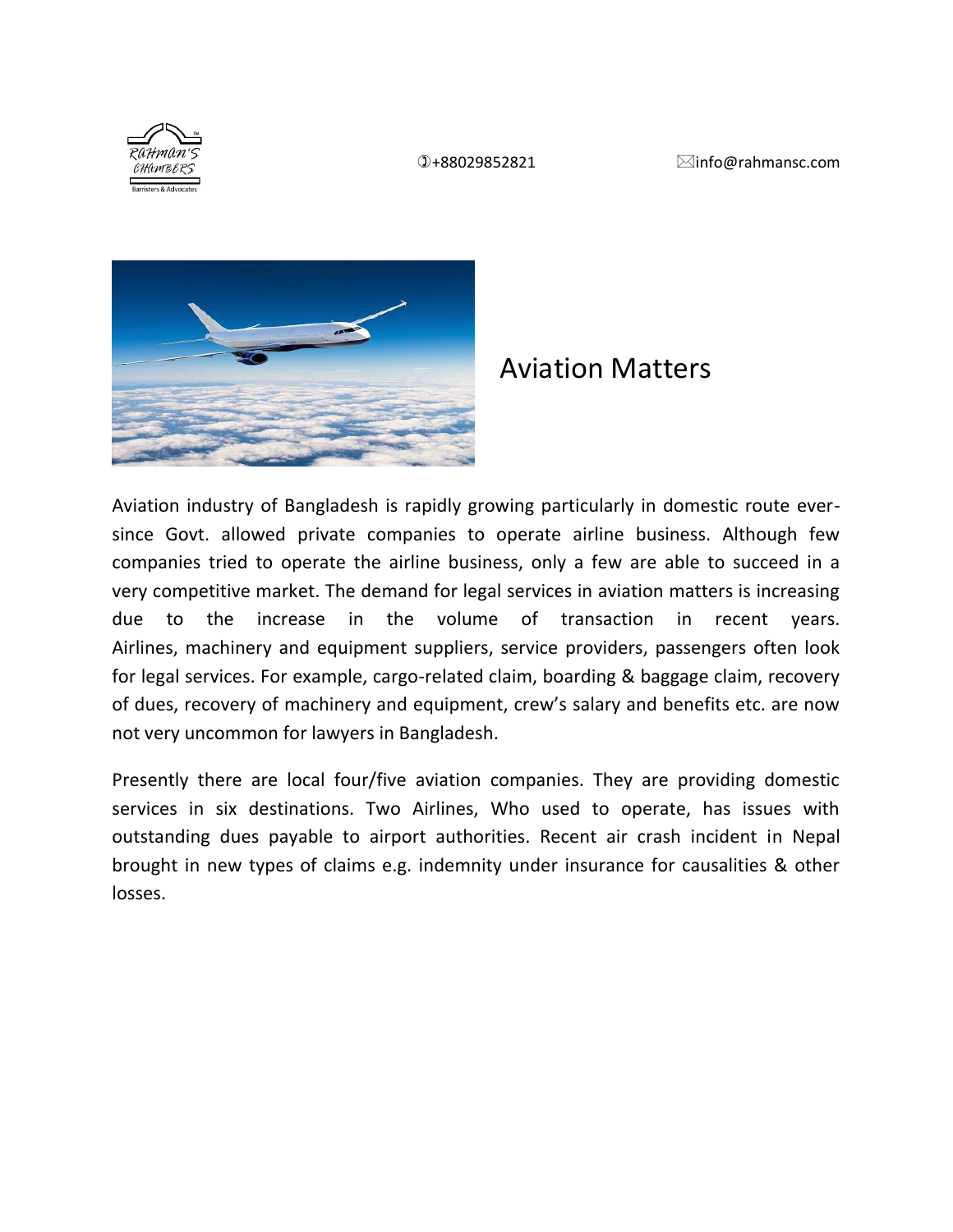

## Aviation Matters

Aviation industry of Bangladesh is rapidly growing particularly in domestic route eversince Govt. allowed private companies to operate airline business. Although few companies tried to operate the airline business, only a few are able to succeed in a very competitive market. The demand for legal services in aviation matters is increasing due to the increase in the volume of transaction in recent years. Airlines, machinery and equipment suppliers, service providers, passengers often look for legal services. For example, cargo-related claim, boarding & baggage claim, recovery of dues, recovery of machinery and equipment, crew's salary and benefits etc. are now not very uncommon for lawyers in Bangladesh.

Presently there are local four/five aviation companies. They are providing domestic services in six destinations. Two Airlines, Who used to operate, has issues with outstanding dues payable to airport authorities. Recent air crash incident in Nepal brought in new types of claims e.g. indemnity under insurance for causalities & other losses.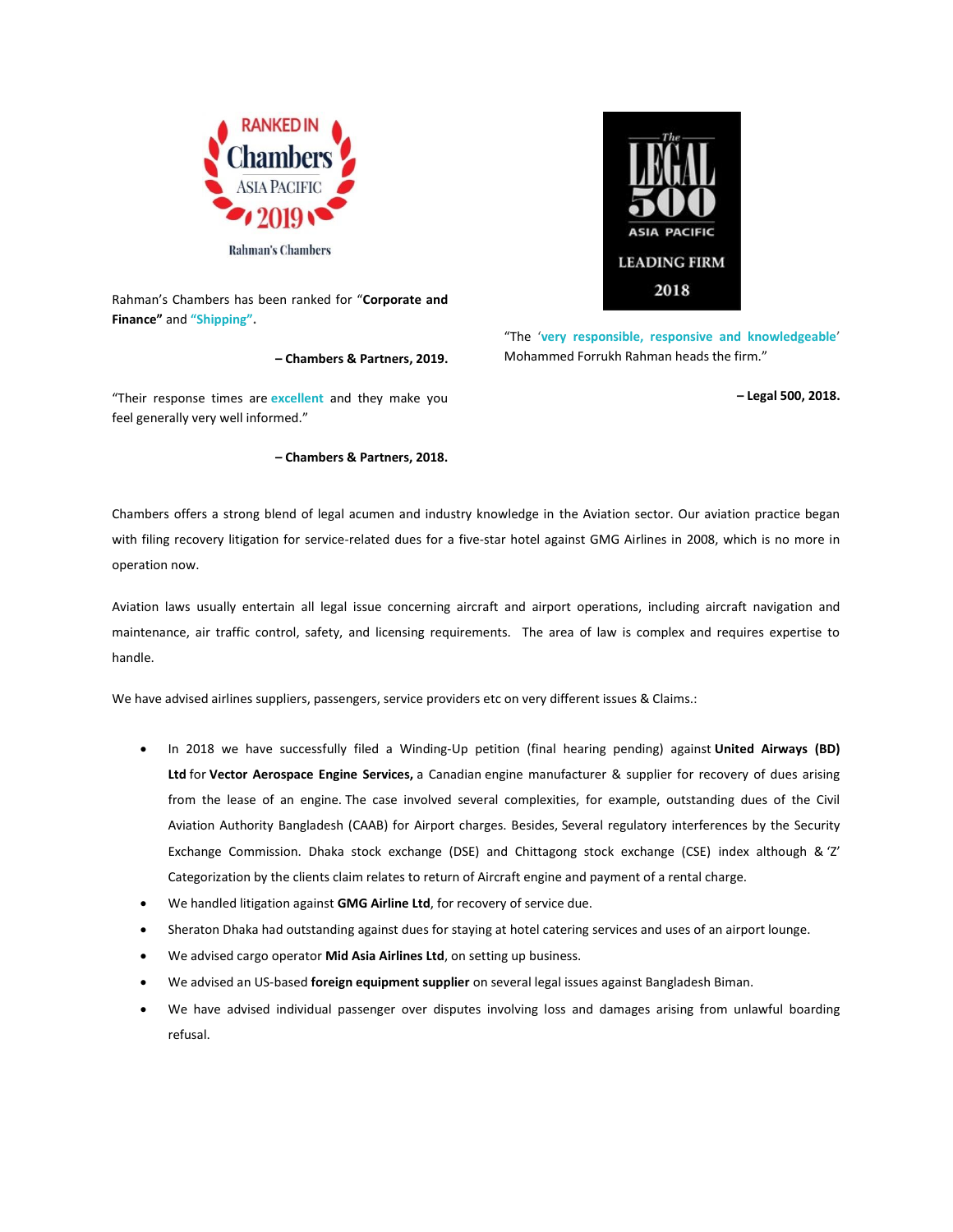

Rahman's Chambers has been ranked for "**Corporate and Finance"** and **["Shipping"](https://chambers.com/rankings/s?publicationTypeId=8&practiceAreaId=47&subsectionTypeId=1&locationId=29).**

**– Chambers & Partners, 2019.**



## **– Chambers & Partners, 2018.**



"The '**[very responsible, responsive and knowledgeable](https://rahmansc.com/recognition-and-awards/)**' Mohammed Forrukh Rahman heads the firm."

**– Legal 500, 2018.**

Chambers offers a strong blend of legal acumen and industry knowledge in the Aviation sector. Our aviation practice began with filing recovery litigation for service-related dues for a five-star hotel against GMG Airlines in 2008, which is no more in operation now.

Aviation laws usually entertain all legal issue concerning aircraft and airport operations, including aircraft navigation and maintenance, air traffic control, safety, and licensing requirements. The area of law is complex and requires expertise to handle.

We have advised airlines suppliers, passengers, service providers etc on very different issues & Claims.:

- In 2018 we have successfully filed a Winding-Up petition (final hearing pending) against **United Airways (BD) Ltd** for **Vector Aerospace Engine Services,** a Canadian engine manufacturer & supplier for recovery of dues arising from the lease of an engine. The case involved several complexities, for example, outstanding dues of the Civil Aviation Authority Bangladesh (CAAB) for Airport charges. Besides, Several regulatory interferences by the Security Exchange Commission. Dhaka stock exchange (DSE) and Chittagong stock exchange (CSE) index although & 'Z' Categorization by the clients claim relates to return of Aircraft engine and payment of a rental charge.
- We handled litigation against **GMG Airline Ltd**, for recovery of service due.
- Sheraton Dhaka had outstanding against dues for staying at hotel catering services and uses of an airport lounge.
- We advised cargo operator **Mid Asia Airlines Ltd**, on setting up business.
- We advised an US-based **foreign equipment supplier** on several legal issues against Bangladesh Biman.
- We have advised individual passenger over disputes involving loss and damages arising from unlawful boarding refusal.